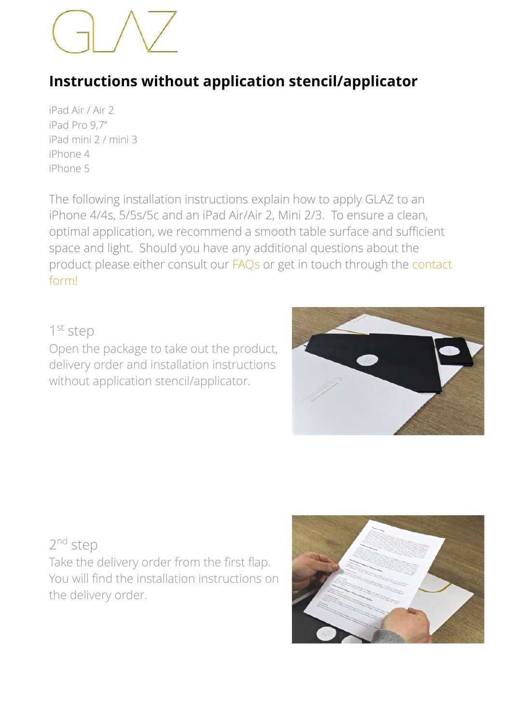# **Instructions without application stencil/applicator**

iPad Air / Air 2 iPad Pro 9,7'' iPad mini 2 / mini 3 iPhone 4 iPhone 5

The following installation instructions explain how to apply GLAZ to an iPhone 4/4s, 5/5s/5c and an iPad Air/Air 2, Mini 2/3. To ensure a clean, optimal application, we recommend a smooth table surface and sufficient space and light. Should you have any additional questions about the product please either consult our [FAQ](http://www.apple.com/de/)[s or get in touch through the contact](https://www.glaz-displayschutz.de/kontakt/)  form!

#### 1<sup>st</sup> step

Open the package to take out the product, delivery order and installation instructions without application stencil/applicator.



### 2nd step

Take the delivery order from the first flap. You will find the installation instructions on the delivery order.

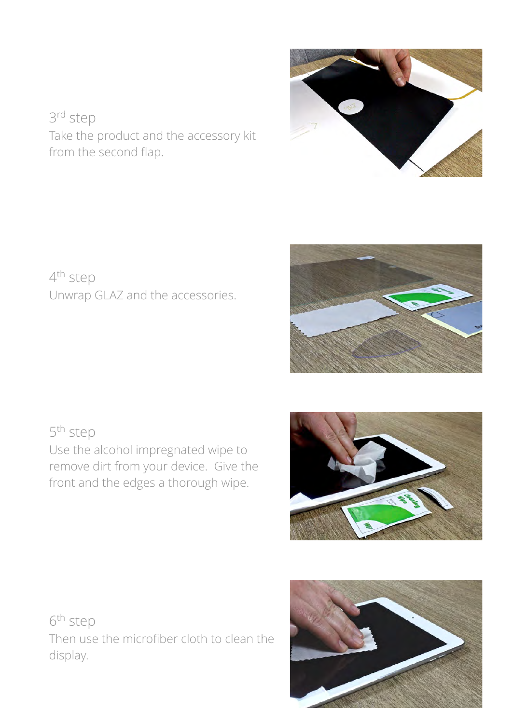3rd step Take the product and the accessory kit from the second flap.

4th step Unwrap GLAZ and the accessories.

5th step Use the alcohol impregnated wipe to remove dirt from your device. Give the front and the edges a thorough wipe.

6th step Then use the microfiber cloth to clean the display.







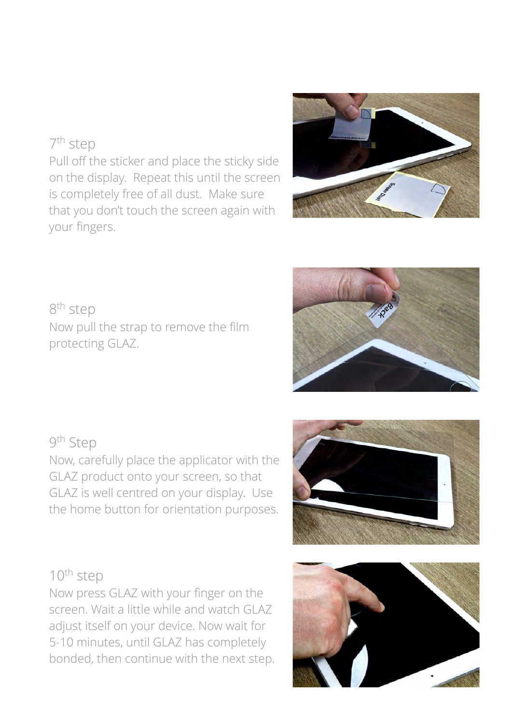## 7th step

Pull off the sticker and place the sticky side on the display. Repeat this until the screen is completely free of all dust. Make sure that you don't touch the screen again with your fingers.

# 8th step Now pull the strap to remove the film protecting GLAZ.

# 9th Step

Now, carefully place the applicator with the GLAZ product onto your screen, so that GLAZ is well centred on your display. Use the home button for orientation purposes.

# 10th step

Now press GLAZ with your finger on the screen. Wait a little while and watch GLAZ adjust itself on your device. Now wait for 5-10 minutes, until GLAZ has completely bonded, then continue with the next step.









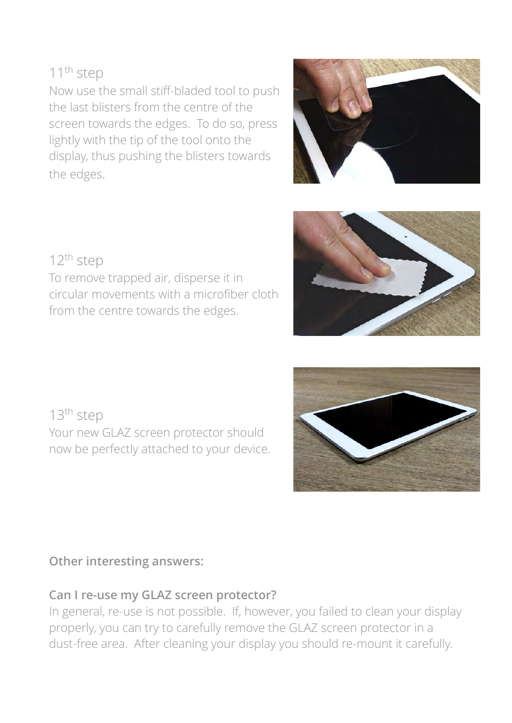## 11<sup>th</sup> step

Now use the small stiff-bladed tool to push the last blisters from the centre of the screen towards the edges. To do so, press lightly with the tip of the tool onto the display, thus pushing the blisters towards the edges.





To remove trapped air, disperse it in circular movements with a microfiber cloth from the centre towards the edges.

13<sup>th</sup> step Your new GLAZ screen protector should now be perfectly attached to your device.

### **Other interesting answers:**

#### **Can I re-use my GLAZ screen protector?**

In general, re-use is not possible. If, however, you failed to clean your display properly, you can try to carefully remove the GLAZ screen protector in a dust-free area. After cleaning your display you should re-mount it carefully.

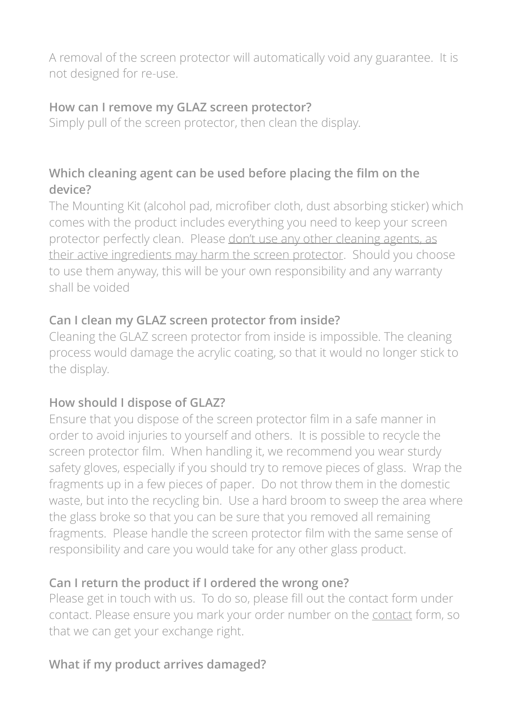A removal of the screen protector will automatically void any guarantee. It is not designed for re-use.

## **How can I remove my GLAZ screen protector?**

Simply pull of the screen protector, then clean the display.

# **Which cleaning agent can be used before placing the film on the device?**

The Mounting Kit (alcohol pad, microfiber cloth, dust absorbing sticker) which comes with the product includes everything you need to keep your screen protector perfectly clean. Please don't use any other cleaning agents, as their active ingredients may harm the screen protector. Should you choose to use them anyway, this will be your own responsibility and any warranty shall be voided

# **Can I clean my GLAZ screen protector from inside?**

Cleaning the GLAZ screen protector from inside is impossible. The cleaning process would damage the acrylic coating, so that it would no longer stick to the display.

# **How should I dispose of GLAZ?**

Ensure that you dispose of the screen protector film in a safe manner in order to avoid injuries to yourself and others. It is possible to recycle the screen protector film. When handling it, we recommend you wear sturdy safety gloves, especially if you should try to remove pieces of glass. Wrap the fragments up in a few pieces of paper. Do not throw them in the domestic waste, but into the recycling bin. Use a hard broom to sweep the area where the glass broke so that you can be sure that you removed all remaining fragments. Please handle the screen protector film with the same sense of responsibility and care you would take for any other glass product.

# **Can I return the product if I ordered the wrong one?**

Please get in touch with us. To do so, please fill out the contact form under contact. Please ensure you mark your order number on the contact form, so that we can get your exchange right.

# **What if my product arrives damaged?**